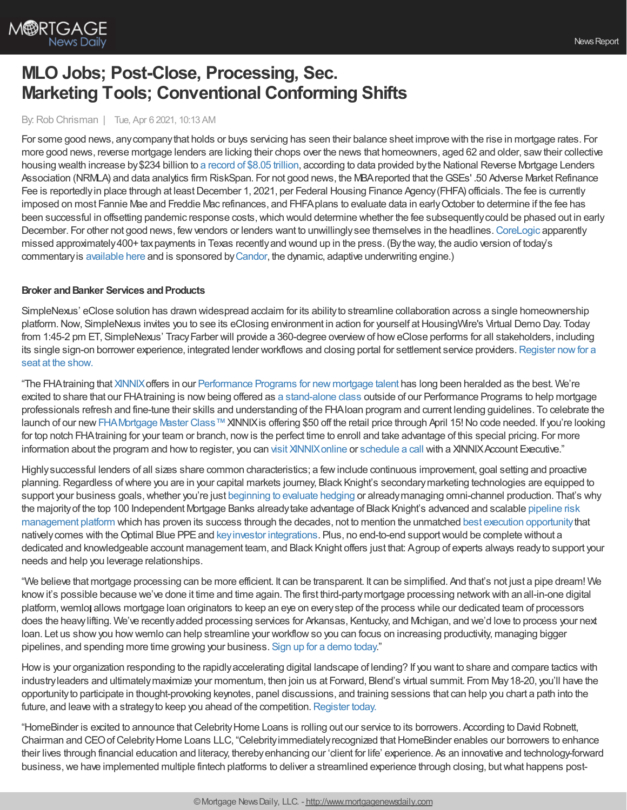

# **MLO Jobs; Post-Close, Processing, Sec. Marketing Tools; Conventional Conforming Shifts**

#### By:Rob Chrisman | Tue, Apr 6 2021, 10:13 AM

For some good news, anycompanythat holds or buys servicing has seen their balance sheet improve with the rise in mortgage rates. For more good news, reverse mortgage lenders are licking their chops over the news that homeowners, aged 62 and older, sawtheir collective housing wealth increase by\$234 billion to a [record](https://reversemortgagedaily.com/2021/04/04/senior-housing-wealth-tops-8-trillion-for-first-time/) of \$8.05 trillion, according to data provided bythe National Reverse Mortgage Lenders Association (NRMLA) and data analytics firm RiskSpan. For not good news, the MBA reported that the GSEs' .50 Adverse Market Refinance Fee is reportedly in place through at least December 1, 2021, per Federal Housing Finance Agency (FHFA) officials. The fee is currently imposed on most Fannie Mae and Freddie Mac refinances, and FHFAplans to evaluate data in earlyOctober to determine if the fee has been successful in offsetting pandemic response costs, which would determine whether the fee subsequently could be phased out in early December. For other not good news, few vendors or lenders want to unwillingly see themselves in the headlines. [CoreLogic](https://dentonrc.com/news/the_watchdog/the-watchdog-prosecutors-police-judges-and-others-are-property-tax-delinquents-through-no-fault-of/article_b7d052e4-52c1-53f8-a2fb-2598ae8acfc0.html) apparently missed approximately400+ tax payments in Texas recently and wound up in the press. (By the way, the audio version of today's commentaryis [available](https://linktr.ee/dailymortgagenews) here and is sponsored by[Candor](https://candortechnology.com/rchrisman-podcast), the dynamic, adaptive underwriting engine.)

## **Broker** and Banker Services and Products

SimpleNexus' eClose solution has drawn widespread acclaim for its abilityto streamline collaboration across a single homeownership platform. Now, SimpleNexus invites you to see its eClosing environment in action for yourself at HousingWire's Virtual Demo Day. Today from 1:45-2 pm ET, SimpleNexus' Tracy Farber will provide a 360-degree overview of how eClose performs for all stakeholders, including its single sign-on borrower experience, integrated lender workflows and closing portal for settlement service providers. Register now for a seat at the show.

"The FHAtraining that [XINNIX](https://www.xinnix.com/)offers in our [Performance](https://www.xinnix.com/offerings/programs/) Programs for new mortgage talent has long been heralded as the best. We're excited to share that our FHAtraining is nowbeing offered as a [stand-alone](https://bit.ly/3fCvV8g) class outside of our Performance Programs to help mortgage professionals refresh and fine-tune their skills and understanding of the FHAloan program and current lending guidelines. To celebrate the launch of our new [FHAMortgage](https://bit.ly/3fCvV8g) Master Class™ XINNIX is offering \$50 off the retail price through April 15! No code needed. If you're looking for top notch FHAtraining for your team or branch, nowis the perfect time to enroll and take advantage of this special pricing. For more information about the program and how to register, you can visit XINNIX online or [schedule](https://www2.xinnix.com/schedulecall) a call with a XINNIX Account Executive."

Highlysuccessful lenders of all sizes share common characteristics; a fewinclude continuous improvement, goal setting and proactive planning.Regardless ofwhere you are in your capital markets journey, Black Knight's secondarymarketing technologies are equipped to support your business goals, whether you're just [beginning](https://nam04.safelinks.protection.outlook.com/?url=https%253A%252F%252Foptimalblue.wistia.com%252Fmedias%252Fkxf7t8mg3m&data=04%257C01%257CEmily.Engstrom%2540bkfs.com%257C9b8d03fc473c4fd9204308d8f5518bb4%257C74ef4d5224794bb98d36530beb14e556%257C0%257C0%257C637529077905669220%257CUnknown%257CTWFpbGZsb3d8eyJWIjoiMC4wLjAwMDAiLCJQIjoiV2luMzIiLCJBTiI6Ik1haWwiLCJXVCI6Mn0%253D%257C1000&sdata=k0dTP5vaELvr7Q1tnMUyyUO8c0%252FK51x%252BZ05rj%252FRaCpc%253D&reserved=0) to evaluate hedging or already managing omni-channel production. That's why the majorityof the top 100 Independent Mortgage Banks alreadytake advantage of Black Knight's advanced and scalable pipeline risk [management](https://nam04.safelinks.protection.outlook.com/?url=https%253A%252F%252Fwww.blackknightinc.com%252Fmarkets-we-serve%252Fmortgage%252Fsecondary-marketing-technologies%252Fhedge-analytics%252F%253Futm_source%253Dchrisman-newsletter%2526utm_medium%253Dpaid-referral%2526utm_campaign%253DSMT_Combo_Hedge-Analytics_Product-Page%2526utm_content%253Dpipeline-risk-management-platform&data=04%257C01%257CEmily.Engstrom%2540bkfs.com%257C9b8d03fc473c4fd9204308d8f5518bb4%257C74ef4d5224794bb98d36530beb14e556%257C0%257C0%257C637529077905679180%257CUnknown%257CTWFpbGZsb3d8eyJWIjoiMC4wLjAwMDAiLCJQIjoiV2luMzIiLCJBTiI6Ik1haWwiLCJXVCI6Mn0%253D%257C1000&sdata=%252FD%252FwXQ%252BUC5Up8YNQ2W5Opga%252F%252BEiVNXXsHypmKEfZf8c%253D&reserved=0) platform which has proven its success through the decades, not to mention the unmatched best execution [opportunity](https://nam04.safelinks.protection.outlook.com/?url=https%253A%252F%252Fwww.blackknightinc.com%252Fmarkets-we-serve%252Fmortgage%252Fsecondary-marketing-technologies%252Floan-trading%252F%253Futm_source%253Dchrisman-newsletter%2526utm_medium%253Dpaid-referral%2526utm_campaign%253DSMT_Combo_Loan-Trading_Product-Page%2526utm_content%253Dbest-execution-opportunity&data=04%257C01%257CEmily.Engstrom%2540bkfs.com%257C9b8d03fc473c4fd9204308d8f5518bb4%257C74ef4d5224794bb98d36530beb14e556%257C0%257C0%257C637529077905679180%257CUnknown%257CTWFpbGZsb3d8eyJWIjoiMC4wLjAwMDAiLCJQIjoiV2luMzIiLCJBTiI6Ik1haWwiLCJXVCI6Mn0%253D%257C1000&sdata=GB9cb1VKhKcF7O3c5ZlaTLxnUyzyvcdQ%252B4EwEByUzQk%253D&reserved=0) that nativelycomes with theOptimal Blue PPEand keyinvestor [integrations](https://nam04.safelinks.protection.outlook.com/?url=https%253A%252F%252Fwww.blackknightinc.com%252Fmarkets-we-serve%252Fmortgage%252Fsecondary-marketing-technologies%252Floan-trading%252F%253Futm_source%253Dchrisman-newsletter%2526utm_medium%253Dpaid-referral%2526utm_campaign%253DSMT_Combo_Loan-Trading_Product-Page%2526utm_content%253Dkey-investor-integrations&data=04%257C01%257CEmily.Engstrom%2540bkfs.com%257C9b8d03fc473c4fd9204308d8f5518bb4%257C74ef4d5224794bb98d36530beb14e556%257C0%257C0%257C637529077905689134%257CUnknown%257CTWFpbGZsb3d8eyJWIjoiMC4wLjAwMDAiLCJQIjoiV2luMzIiLCJBTiI6Ik1haWwiLCJXVCI6Mn0%253D%257C1000&sdata=ttccL9gKPjw6X5QLyXFl9E6QehfWoNi%252FYG54Kr0lbpQ%253D&reserved=0). Plus, no end-to-end supportwould be complete without a dedicated and knowledgeable account management team, and Black Knight offers just that: Agroup of experts always readyto support your needs and help you leverage relationships.

"We believe that mortgage processing can be more efficient. It can be transparent. It can be simplified. And that's not just a pipe dream! We knowit's possible because we've done it time and time again. The first third-partymortgage processing networkwith anall-in-one digital platform, wemlo allows mortgage loan originators to keep an eye on every step of the process while our dedicated team of processors does the heavylifting. We've recentlyadded processing services for Arkansas, Kentucky, and Michigan, and we'd love to process your next loan. Let us showyou howwemlo can help streamline your workflowso you can focus on increasing productivity, managing bigger pipelines, and spending more time growing your business. Sign up for a [demo](https://bit.ly/3rSlIYb) today."

Howis your organization responding to the rapidlyaccelerating digital landscape of lending? If you want to share and compare tactics with industryleaders and ultimatelymaximize your momentum, then join us at Forward, Blend's virtual summit. From May18-20, you'll have the opportunityto participate in thought-provoking keynotes, panel discussions, and training sessions that can help you chart a path into the future, and leave with a strategy to keep you ahead of the competition. [Register](https://forward.blend.com/?utm_source=chrisman&utm_medium=email&utm_campaign=forward-S21) today.

"HomeBinder is excited to announce thatCelebrityHome Loans is rolling out our service to its borrowers. According to David Robnett, Chairman and CEOofCelebrityHome Loans LLC, "Celebrityimmediatelyrecognized thatHomeBinder enables our borrowers to enhance their lives through financial education and literacy, therebyenhancing our 'client for life' experience. As an innovative and technology-forward business, we have implemented multiple fintech platforms to deliver a streamlined experience through closing, but what happens post-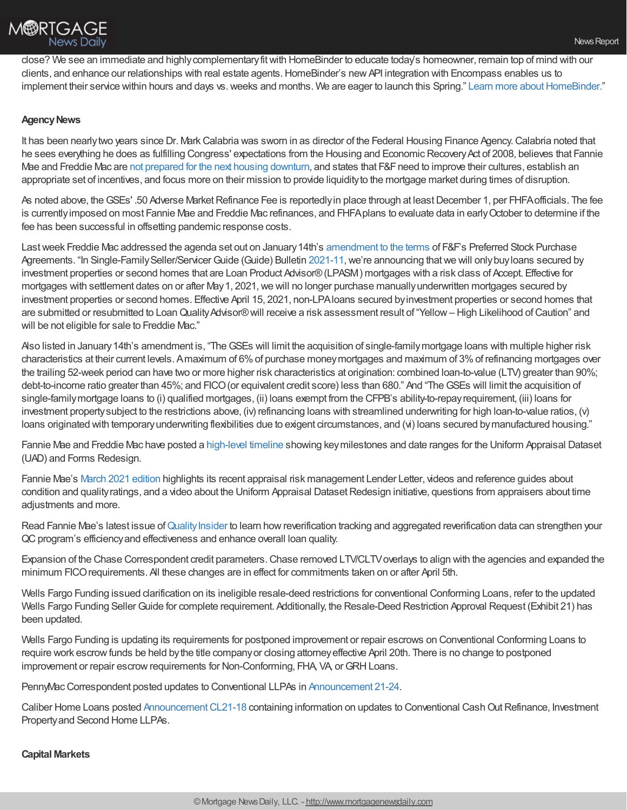

close? We see an immediate and highlycomplementaryfitwith HomeBinder to educate today's homeowner, remain top of mind with our clients, and enhance our relationships with real estate agents.HomeBinder's newAPI integration with Encompass enables us to implement their service within hours and days vs. weeks and months. We are eager to launch this Spring." Learn more about HomeBinder."

## **Agency News**

It has been nearly two years since Dr. Mark Calabria was sworn in as director of the Federal Housing Finance Agency. Calabria noted that he sees everything he does as fulfilling Congress' expectations from the Housing and Economic Recovery Act of 2008, believes that Fannie Mae and Freddie Mac are not prepared for the next housing [downturn](https://www.situsamc.com/insights/hill-episode-6-mark-calabria-director-federal-housing-finance-agency), and states that F&F need to improve their cultures, establish an appropriate set of incentives, and focus more on their mission to provide liquidityto the mortgage market during times of disruption.

As noted above, the GSEs' .50 Adverse Market Refinance Fee is reportedly in place through at least December 1, per FHFA officials. The fee is currentlyimposed on most Fannie Mae and Freddie Mac refinances, and FHFAplans to evaluate data in earlyOctober to determine if the fee has been successful in offsetting pandemic response costs.

Last week Freddie Mac addressed the agenda set out on January 14th's [amendment](https://home.treasury.gov/news/press-releases/sm1236) to the terms of F&F's Preferred Stock Purchase Agreements. "In Single-Family Seller/Servicer Guide (Guide) Bulletin [2021-11](https://urldefense.proofpoint.com/v2/url?u=http-3A__app.infofreddiemac.com_e_er-3Fs-3D325135053-26lid-3D9928-26elqTrackId-3DE1E194104D79258CA28FC1F4A1550249-26elq-3Dd48007beaed94115822c6e8eeb131bb9-26elqaid-3D9655-26elqat-3D1&d=DwMGaQ&c=eVunvma8zl9l67TuxnHARlplyQ9WuRmL-niZRa5x0gA&r=KPbERgKds2HnItS3gDACLL0DYMKw__-PkAlIbZqoFFE&m=HE2FRjR7LAorbW8n-qkNsKsPB1nFLwftKyk3KdGP9OA&s=61tXzAV8xG_uJ14Xd_dE5VfimpU1a_K6szq-MzJbYqQ&e=), we're announcing that we will only buy loans secured by investment properties or second homes that are Loan Product Advisor®(LPASM) mortgages with a risk class of Accept. Effective for mortgages with settlement dates on or after May 1, 2021, we will no longer purchase manually underwritten mortgages secured by investment properties or second homes. Effective April 15, 2021, non-LPAloans secured byinvestment properties or second homes that are submitted or resubmitted to Loan Quality Advisor® will receive a risk assessment result of "Yellow – High Likelihood of Caution" and will be not eligible for sale to Freddie Mac."

Also listed in January14th's amendment is, "TheGSEs will limit the acquisition of single-familymortgage loans with multiple higher risk characteristics at their current levels. Amaximum of 6%of purchase moneymortgages and maximum of 3%of refinancing mortgages over the trailing 52-week period can have two or more higher risk characteristics at origination: combined loan-to-value (LTV) greater than 90%; debt-to-income ratio greater than 45%; and FICO(or equivalent credit score) less than 680." And "TheGSEs will limit the acquisition of single-familymortgage loans to (i) qualified mortgages, (ii) loans exempt from the CFPB's ability-to-repayrequirement, (iii) loans for investment propertysubject to the restrictions above, (iv) refinancing loans with streamlined underwriting for high loan-to-value ratios, (v) loans originated with temporary underwriting flexibilities due to exigent circumstances, and (vi) loans secured by manufactured housing."

Fannie Mae and Freddie Mac have posted a [high-level](https://singlefamily.fanniemae.com/media/25391/display) timeline showing keymilestones and date ranges for the Uniform Appraisal Dataset (UAD) and Forms Redesign.

Fannie Mae's March 2021 [edition](https://singlefamily.fanniemae.com/media/25381/display?utm_campaign=ppe-sf-ssn2021&utm_source=sfmc&utm_medium=email&utm_content=edu-eml-noa-eml03242021%20SSN-o-n&utm_term=b2b) highlights its recent appraisal risk management Lender Letter, videos and reference guides about condition and quality ratings, and a video about the Uniform Appraisal Dataset Redesign initiative, questions from appraisers about time adiustments and more.

Read Fannie Mae's latest issue of Quality Insider to learn how reverification tracking and aggregated reverification data can strengthen your QC program's efficiency and effectiveness and enhance overall loan quality.

Expansion of the Chase Correspondent credit parameters. Chase removed LTV/CLTV overlays to align with the agencies and expanded the minimum FICOrequirements. All these changes are in effect for commitments taken on or after April 5th.

Wells Fargo Funding issued clarification on its ineligible resale-deed restrictions for conventional Conforming Loans, refer to the updated Wells Fargo Funding Seller Guide for complete requirement. Additionally, the Resale-Deed Restriction Approval Request (Exhibit 21) has been updated.

Wells Fargo Funding is updating its requirements for postponed improvement or repair escrows on Conventional Conforming Loans to require work escrow funds be held by the title company or closing attorney effective April 20th. There is no change to postponed improvement or repair escrow requirements for Non-Conforming, FHA, VA, or GRH Loans.

PennyMac Correspondent posted updates to Conventional LLPAs in [Announcement](https://www.gopennymac.com/announcements/announcement-21-24) 21-24.

Caliber Home Loans posted Announcement CL21-18 containing information on updates to Conventional Cash Out Refinance, Investment Propertyand Second Home LLPAs.

## **Capital Markets**